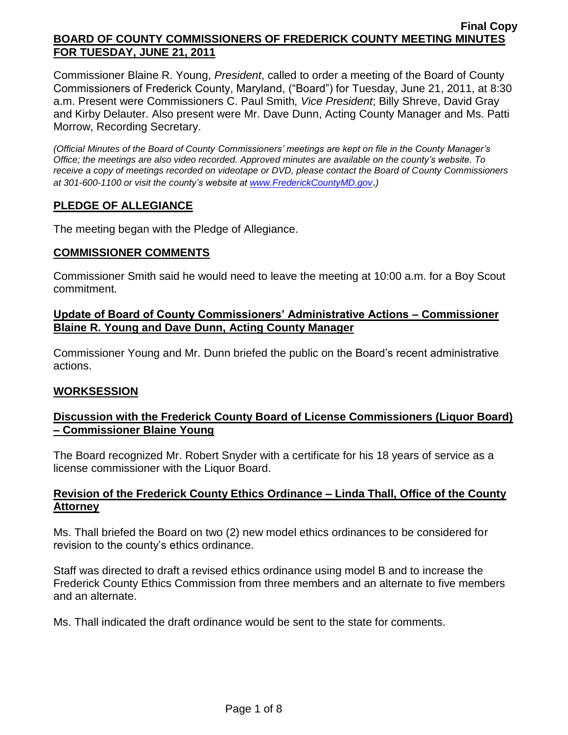Commissioner Blaine R. Young, *President*, called to order a meeting of the Board of County Commissioners of Frederick County, Maryland, ("Board") for Tuesday, June 21, 2011, at 8:30 a.m. Present were Commissioners C. Paul Smith*, Vice President*; Billy Shreve, David Gray and Kirby Delauter. Also present were Mr. Dave Dunn, Acting County Manager and Ms. Patti Morrow, Recording Secretary.

*(Official Minutes of the Board of County Commissioners' meetings are kept on file in the County Manager's Office; the meetings are also video recorded. Approved minutes are available on the county's website. To receive a copy of meetings recorded on videotape or DVD, please contact the Board of County Commissioners at 301-600-1100 or visit the county's website at [www.FrederickCountyMD.gov](http://www.frederickcountymd.gov/)*.*)*

# **PLEDGE OF ALLEGIANCE**

The meeting began with the Pledge of Allegiance.

### **COMMISSIONER COMMENTS**

Commissioner Smith said he would need to leave the meeting at 10:00 a.m. for a Boy Scout commitment.

## **Update of Board of County Commissioners' Administrative Actions – Commissioner Blaine R. Young and Dave Dunn, Acting County Manager**

Commissioner Young and Mr. Dunn briefed the public on the Board's recent administrative actions.

# **WORKSESSION**

# **Discussion with the Frederick County Board of License Commissioners (Liquor Board) – Commissioner Blaine Young**

The Board recognized Mr. Robert Snyder with a certificate for his 18 years of service as a license commissioner with the Liquor Board.

# **Revision of the Frederick County Ethics Ordinance – Linda Thall, Office of the County Attorney**

Ms. Thall briefed the Board on two (2) new model ethics ordinances to be considered for revision to the county's ethics ordinance.

Staff was directed to draft a revised ethics ordinance using model B and to increase the Frederick County Ethics Commission from three members and an alternate to five members and an alternate.

Ms. Thall indicated the draft ordinance would be sent to the state for comments.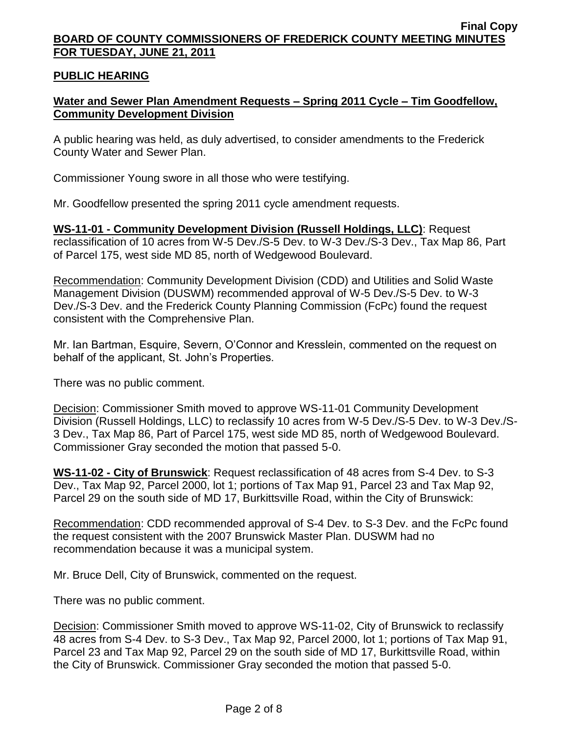## **PUBLIC HEARING**

# **Water and Sewer Plan Amendment Requests – Spring 2011 Cycle – Tim Goodfellow, Community Development Division**

A public hearing was held, as duly advertised, to consider amendments to the Frederick County Water and Sewer Plan.

Commissioner Young swore in all those who were testifying.

Mr. Goodfellow presented the spring 2011 cycle amendment requests.

**WS-11-01 - Community Development Division (Russell Holdings, LLC)**: Request reclassification of 10 acres from W-5 Dev./S-5 Dev. to W-3 Dev./S-3 Dev., Tax Map 86, Part of Parcel 175, west side MD 85, north of Wedgewood Boulevard.

Recommendation: Community Development Division (CDD) and Utilities and Solid Waste Management Division (DUSWM) recommended approval of W-5 Dev./S-5 Dev. to W-3 Dev./S-3 Dev. and the Frederick County Planning Commission (FcPc) found the request consistent with the Comprehensive Plan.

Mr. Ian Bartman, Esquire, Severn, O'Connor and Kresslein, commented on the request on behalf of the applicant, St. John's Properties.

There was no public comment.

Decision: Commissioner Smith moved to approve WS-11-01 Community Development Division (Russell Holdings, LLC) to reclassify 10 acres from W-5 Dev./S-5 Dev. to W-3 Dev./S-3 Dev., Tax Map 86, Part of Parcel 175, west side MD 85, north of Wedgewood Boulevard. Commissioner Gray seconded the motion that passed 5-0.

**WS-11-02 - City of Brunswick**: Request reclassification of 48 acres from S-4 Dev. to S-3 Dev., Tax Map 92, Parcel 2000, lot 1; portions of Tax Map 91, Parcel 23 and Tax Map 92, Parcel 29 on the south side of MD 17, Burkittsville Road, within the City of Brunswick:

Recommendation: CDD recommended approval of S-4 Dev. to S-3 Dev. and the FcPc found the request consistent with the 2007 Brunswick Master Plan. DUSWM had no recommendation because it was a municipal system.

Mr. Bruce Dell, City of Brunswick, commented on the request.

There was no public comment.

Decision: Commissioner Smith moved to approve WS-11-02, City of Brunswick to reclassify 48 acres from S-4 Dev. to S-3 Dev., Tax Map 92, Parcel 2000, lot 1; portions of Tax Map 91, Parcel 23 and Tax Map 92, Parcel 29 on the south side of MD 17, Burkittsville Road, within the City of Brunswick. Commissioner Gray seconded the motion that passed 5-0.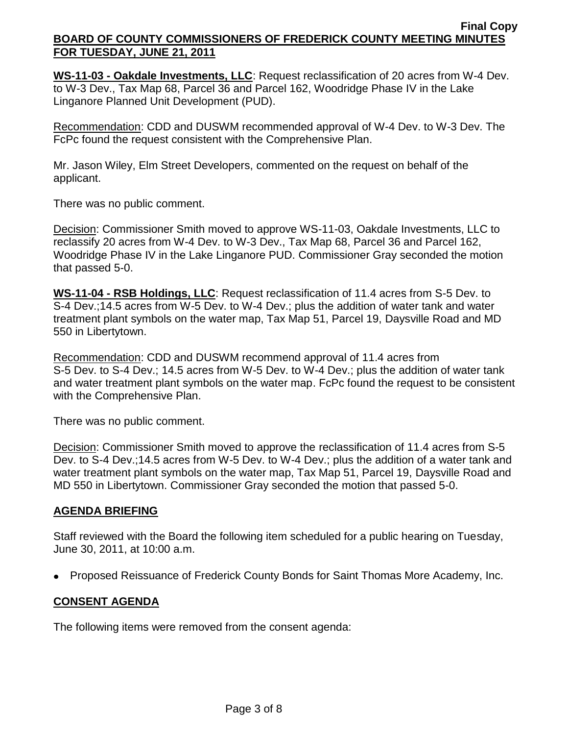**WS-11-03 - Oakdale Investments, LLC**: Request reclassification of 20 acres from W-4 Dev. to W-3 Dev., Tax Map 68, Parcel 36 and Parcel 162, Woodridge Phase IV in the Lake Linganore Planned Unit Development (PUD).

Recommendation: CDD and DUSWM recommended approval of W-4 Dev. to W-3 Dev. The FcPc found the request consistent with the Comprehensive Plan.

Mr. Jason Wiley, Elm Street Developers, commented on the request on behalf of the applicant.

There was no public comment.

Decision: Commissioner Smith moved to approve WS-11-03, Oakdale Investments, LLC to reclassify 20 acres from W-4 Dev. to W-3 Dev., Tax Map 68, Parcel 36 and Parcel 162, Woodridge Phase IV in the Lake Linganore PUD. Commissioner Gray seconded the motion that passed 5-0.

**WS-11-04 - RSB Holdings, LLC**: Request reclassification of 11.4 acres from S-5 Dev. to S-4 Dev.;14.5 acres from W-5 Dev. to W-4 Dev.; plus the addition of water tank and water treatment plant symbols on the water map, Tax Map 51, Parcel 19, Daysville Road and MD 550 in Libertytown.

Recommendation: CDD and DUSWM recommend approval of 11.4 acres from S-5 Dev. to S-4 Dev.; 14.5 acres from W-5 Dev. to W-4 Dev.; plus the addition of water tank and water treatment plant symbols on the water map. FcPc found the request to be consistent with the Comprehensive Plan.

There was no public comment.

Decision: Commissioner Smith moved to approve the reclassification of 11.4 acres from S-5 Dev. to S-4 Dev.;14.5 acres from W-5 Dev. to W-4 Dev.; plus the addition of a water tank and water treatment plant symbols on the water map, Tax Map 51, Parcel 19, Daysville Road and MD 550 in Libertytown. Commissioner Gray seconded the motion that passed 5-0.

# **AGENDA BRIEFING**

Staff reviewed with the Board the following item scheduled for a public hearing on Tuesday, June 30, 2011, at 10:00 a.m.

• Proposed Reissuance of Frederick County Bonds for Saint Thomas More Academy, Inc.

# **CONSENT AGENDA**

The following items were removed from the consent agenda: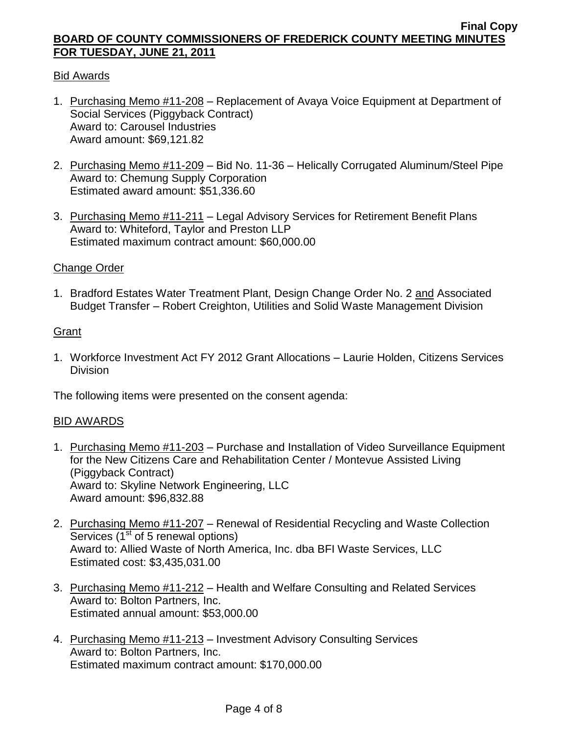# Bid Awards

- 1. Purchasing Memo #11-208 Replacement of Avaya Voice Equipment at Department of Social Services (Piggyback Contract) Award to: Carousel Industries Award amount: \$69,121.82
- 2. Purchasing Memo #11-209 Bid No. 11-36 Helically Corrugated Aluminum/Steel Pipe Award to: Chemung Supply Corporation Estimated award amount: \$51,336.60
- 3. Purchasing Memo #11-211 Legal Advisory Services for Retirement Benefit Plans Award to: Whiteford, Taylor and Preston LLP Estimated maximum contract amount: \$60,000.00

### Change Order

1. Bradford Estates Water Treatment Plant, Design Change Order No. 2 and Associated Budget Transfer – Robert Creighton, Utilities and Solid Waste Management Division

# **Grant**

1. Workforce Investment Act FY 2012 Grant Allocations – Laurie Holden, Citizens Services **Division** 

The following items were presented on the consent agenda:

### BID AWARDS

- 1. Purchasing Memo #11-203 Purchase and Installation of Video Surveillance Equipment for the New Citizens Care and Rehabilitation Center / Montevue Assisted Living (Piggyback Contract) Award to: Skyline Network Engineering, LLC Award amount: \$96,832.88
- 2. Purchasing Memo #11-207 Renewal of Residential Recycling and Waste Collection Services  $(1<sup>st</sup>$  of 5 renewal options) Award to: Allied Waste of North America, Inc. dba BFI Waste Services, LLC Estimated cost: \$3,435,031.00
- 3. Purchasing Memo #11-212 Health and Welfare Consulting and Related Services Award to: Bolton Partners, Inc. Estimated annual amount: \$53,000.00
- 4. Purchasing Memo #11-213 Investment Advisory Consulting Services Award to: Bolton Partners, Inc. Estimated maximum contract amount: \$170,000.00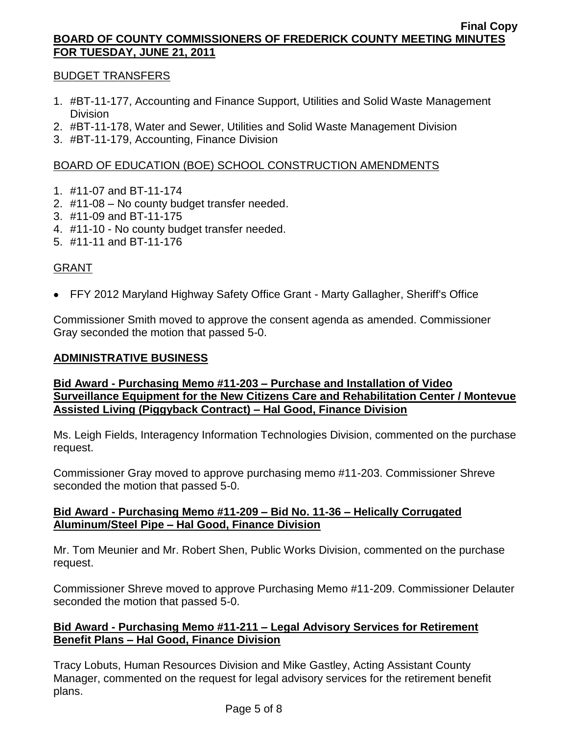# BUDGET TRANSFERS

- 1. #BT-11-177, Accounting and Finance Support, Utilities and Solid Waste Management **Division**
- 2. #BT-11-178, Water and Sewer, Utilities and Solid Waste Management Division
- 3. #BT-11-179, Accounting, Finance Division

# BOARD OF EDUCATION (BOE) SCHOOL CONSTRUCTION AMENDMENTS

- 1. #11-07 and BT-11-174
- 2. #11-08 No county budget transfer needed.
- 3. #11-09 and BT-11-175
- 4. #11-10 No county budget transfer needed.
- 5. #11-11 and BT-11-176

# GRANT

FFY 2012 Maryland Highway Safety Office Grant - Marty Gallagher, Sheriff's Office

Commissioner Smith moved to approve the consent agenda as amended. Commissioner Gray seconded the motion that passed 5-0.

### **ADMINISTRATIVE BUSINESS**

# **Bid Award - Purchasing Memo #11-203 – Purchase and Installation of Video Surveillance Equipment for the New Citizens Care and Rehabilitation Center / Montevue Assisted Living (Piggyback Contract) – Hal Good, Finance Division**

Ms. Leigh Fields, Interagency Information Technologies Division, commented on the purchase request.

Commissioner Gray moved to approve purchasing memo #11-203. Commissioner Shreve seconded the motion that passed 5-0.

# **Bid Award - Purchasing Memo #11-209 – Bid No. 11-36 – Helically Corrugated Aluminum/Steel Pipe – Hal Good, Finance Division**

Mr. Tom Meunier and Mr. Robert Shen, Public Works Division, commented on the purchase request.

Commissioner Shreve moved to approve Purchasing Memo #11-209. Commissioner Delauter seconded the motion that passed 5-0.

# **Bid Award - Purchasing Memo #11-211 – Legal Advisory Services for Retirement Benefit Plans – Hal Good, Finance Division**

Tracy Lobuts, Human Resources Division and Mike Gastley, Acting Assistant County Manager, commented on the request for legal advisory services for the retirement benefit plans.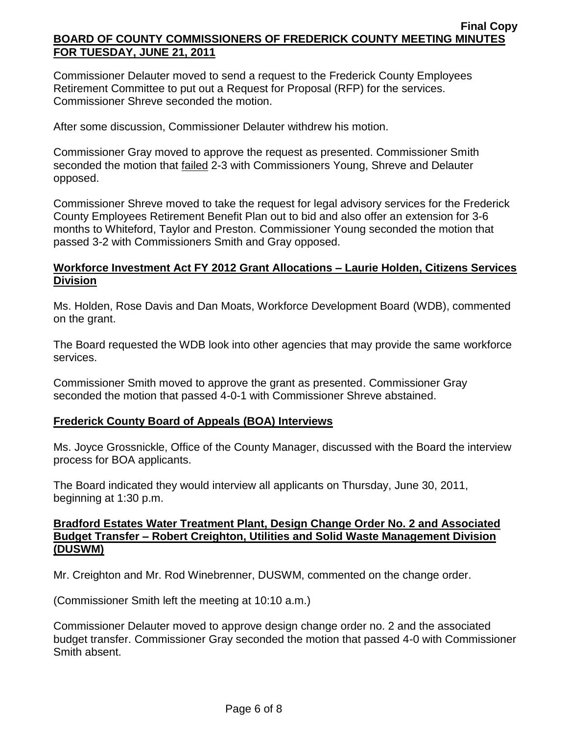Commissioner Delauter moved to send a request to the Frederick County Employees Retirement Committee to put out a Request for Proposal (RFP) for the services. Commissioner Shreve seconded the motion.

After some discussion, Commissioner Delauter withdrew his motion.

Commissioner Gray moved to approve the request as presented. Commissioner Smith seconded the motion that failed 2-3 with Commissioners Young, Shreve and Delauter opposed.

Commissioner Shreve moved to take the request for legal advisory services for the Frederick County Employees Retirement Benefit Plan out to bid and also offer an extension for 3-6 months to Whiteford, Taylor and Preston. Commissioner Young seconded the motion that passed 3-2 with Commissioners Smith and Gray opposed.

# **Workforce Investment Act FY 2012 Grant Allocations – Laurie Holden, Citizens Services Division**

Ms. Holden, Rose Davis and Dan Moats, Workforce Development Board (WDB), commented on the grant.

The Board requested the WDB look into other agencies that may provide the same workforce services.

Commissioner Smith moved to approve the grant as presented. Commissioner Gray seconded the motion that passed 4-0-1 with Commissioner Shreve abstained.

# **Frederick County Board of Appeals (BOA) Interviews**

Ms. Joyce Grossnickle, Office of the County Manager, discussed with the Board the interview process for BOA applicants.

The Board indicated they would interview all applicants on Thursday, June 30, 2011, beginning at 1:30 p.m.

# **Bradford Estates Water Treatment Plant, Design Change Order No. 2 and Associated Budget Transfer – Robert Creighton, Utilities and Solid Waste Management Division (DUSWM)**

Mr. Creighton and Mr. Rod Winebrenner, DUSWM, commented on the change order.

(Commissioner Smith left the meeting at 10:10 a.m.)

Commissioner Delauter moved to approve design change order no. 2 and the associated budget transfer. Commissioner Gray seconded the motion that passed 4-0 with Commissioner Smith absent.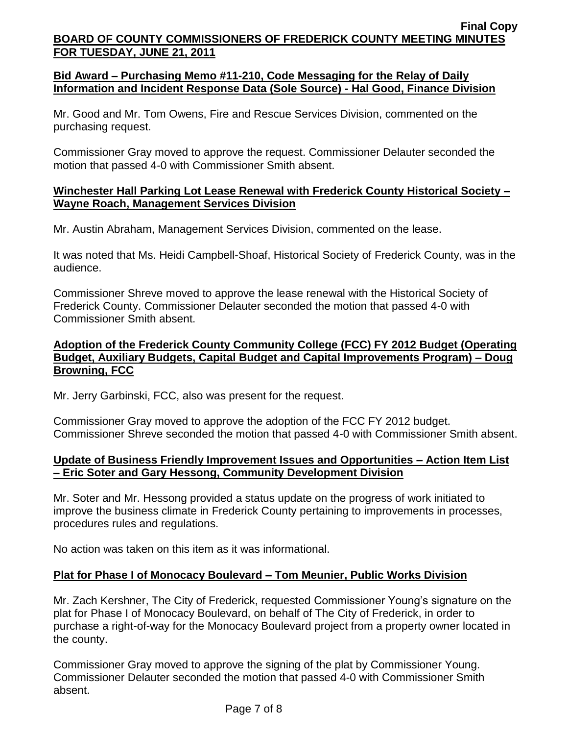## **Bid Award – Purchasing Memo #11-210, Code Messaging for the Relay of Daily Information and Incident Response Data (Sole Source) - Hal Good, Finance Division**

Mr. Good and Mr. Tom Owens, Fire and Rescue Services Division, commented on the purchasing request.

Commissioner Gray moved to approve the request. Commissioner Delauter seconded the motion that passed 4-0 with Commissioner Smith absent.

## **Winchester Hall Parking Lot Lease Renewal with Frederick County Historical Society – Wayne Roach, Management Services Division**

Mr. Austin Abraham, Management Services Division, commented on the lease.

It was noted that Ms. Heidi Campbell-Shoaf, Historical Society of Frederick County, was in the audience.

Commissioner Shreve moved to approve the lease renewal with the Historical Society of Frederick County. Commissioner Delauter seconded the motion that passed 4-0 with Commissioner Smith absent.

# **Adoption of the Frederick County Community College (FCC) FY 2012 Budget (Operating Budget, Auxiliary Budgets, Capital Budget and Capital Improvements Program) – Doug Browning, FCC**

Mr. Jerry Garbinski, FCC, also was present for the request.

Commissioner Gray moved to approve the adoption of the FCC FY 2012 budget. Commissioner Shreve seconded the motion that passed 4-0 with Commissioner Smith absent.

# **Update of Business Friendly Improvement Issues and Opportunities – Action Item List – Eric Soter and Gary Hessong, Community Development Division**

Mr. Soter and Mr. Hessong provided a status update on the progress of work initiated to improve the business climate in Frederick County pertaining to improvements in processes, procedures rules and regulations.

No action was taken on this item as it was informational.

# **Plat for Phase I of Monocacy Boulevard – Tom Meunier, Public Works Division**

Mr. Zach Kershner, The City of Frederick, requested Commissioner Young's signature on the plat for Phase I of Monocacy Boulevard, on behalf of The City of Frederick, in order to purchase a right-of-way for the Monocacy Boulevard project from a property owner located in the county.

Commissioner Gray moved to approve the signing of the plat by Commissioner Young. Commissioner Delauter seconded the motion that passed 4-0 with Commissioner Smith absent.